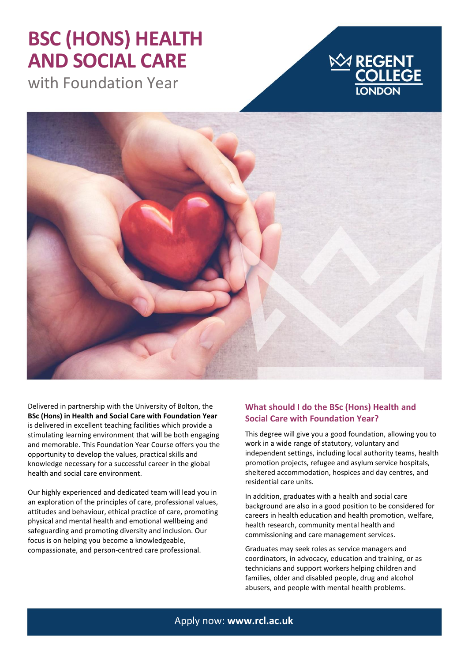## **BSC (HONS) HEALTH AND SOCIAL CARE**

with Foundation Year





Delivered in partnership with the University of Bolton, the **BSc (Hons) in Health and Social Care with Foundation Year** is delivered in excellent teaching facilities which provide a stimulating learning environment that will be both engaging and memorable. This Foundation Year Course offers you the opportunity to develop the values, practical skills and knowledge necessary for a successful career in the global health and social care environment.

Our highly experienced and dedicated team will lead you in an exploration of the principles of care, professional values, attitudes and behaviour, ethical practice of care, promoting physical and mental health and emotional wellbeing and safeguarding and promoting diversity and inclusion. Our focus is on helping you become a knowledgeable, compassionate, and person-centred care professional.

### **What should I do the BSc (Hons) Health and Social Care with Foundation Year?**

This degree will give you a good foundation, allowing you to work in a wide range of statutory, voluntary and independent settings, including local authority teams, health promotion projects, refugee and asylum service hospitals, sheltered accommodation, hospices and day centres, and residential care units.

In addition, graduates with a health and social care background are also in a good position to be considered for careers in health education and health promotion, welfare, health research, community mental health and commissioning and care management services.

Graduates may seek roles as service managers and coordinators, in advocacy, education and training, or as technicians and support workers helping children and families, older and disabled people, drug and alcohol abusers, and people with mental health problems.